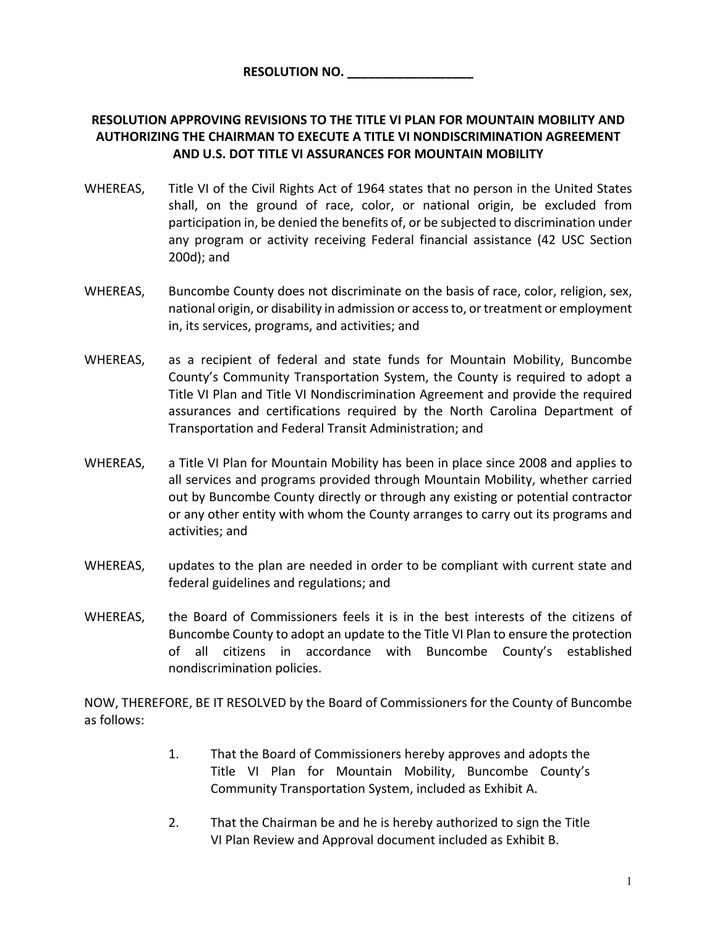## **RESOLUTION APPROVING REVISIONS TO THE TITLE VI PLAN FOR MOUNTAIN MOBILITY AND AUTHORIZING THE CHAIRMAN TO EXECUTE A TITLE VI NONDISCRIMINATION AGREEMENT AND U.S. DOT TITLE VI ASSURANCES FOR MOUNTAIN MOBILITY**

- WHEREAS, Title VI of the Civil Rights Act of 1964 states that no person in the United States shall, on the ground of race, color, or national origin, be excluded from participation in, be denied the benefits of, or be subjected to discrimination under any program or activity receiving Federal financial assistance (42 USC Section 200d); and
- WHEREAS, Buncombe County does not discriminate on the basis of race, color, religion, sex, national origin, or disability in admission or access to, or treatment or employment in, its services, programs, and activities; and
- WHEREAS, as a recipient of federal and state funds for Mountain Mobility, Buncombe County's Community Transportation System, the County is required to adopt a Title VI Plan and Title VI Nondiscrimination Agreement and provide the required assurances and certifications required by the North Carolina Department of Transportation and Federal Transit Administration; and
- WHEREAS, a Title VI Plan for Mountain Mobility has been in place since 2008 and applies to all services and programs provided through Mountain Mobility, whether carried out by Buncombe County directly or through any existing or potential contractor or any other entity with whom the County arranges to carry out its programs and activities; and
- WHEREAS, updates to the plan are needed in order to be compliant with current state and federal guidelines and regulations; and
- WHEREAS, the Board of Commissioners feels it is in the best interests of the citizens of Buncombe County to adopt an update to the Title VI Plan to ensure the protection of all citizens in accordance with Buncombe County's established nondiscrimination policies.

NOW, THEREFORE, BE IT RESOLVED by the Board of Commissioners for the County of Buncombe as follows:

- 1. That the Board of Commissioners hereby approves and adopts the Title VI Plan for Mountain Mobility, Buncombe County's Community Transportation System, included as Exhibit A.
- 2. That the Chairman be and he is hereby authorized to sign the Title VI Plan Review and Approval document included as Exhibit B.